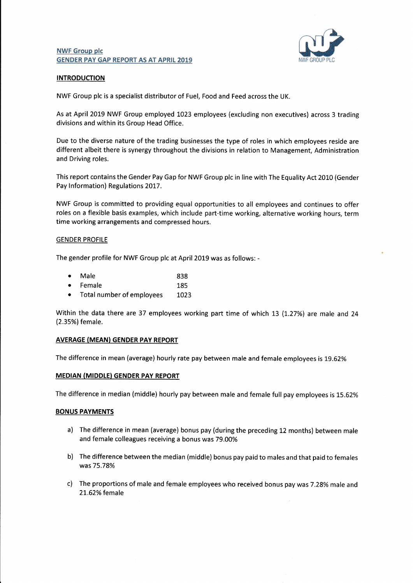## NWF Group plc GENDER PAY GAP REPORT AS AT APRIL 2019



## INTRODUCTION

NWF Group plc is a specialist distributor of Fuel, Food and Feed across the UK

As at April 2019 NWF Group employed 1023 employees (excluding non executives) across 3 trading divisions and within its Group Head Office.

Due to the diverse nature of the trading businesses the type of roles in which employees reside are different albeit there is synergy throughout the divisions in relation to Management, Administration and Driving roles.

This report contains the Gender Pay Gap for NWF Group plc in line with The Equality Act 2010 (Gender Pay lnformation) Regulations 2017.

NWF Group is committed to providing equal opportunities to all employees and continues to offer roles on a flexible basis examples, which include part-time working, alternative working hours, term time working arrangements and compressed hours.

## GENDER PROFILE

The gender profile for NWF Group plc at April 2019 was as follows: -

| $\bullet$ | Male     | 838 |
|-----------|----------|-----|
|           | • Female | 185 |
|           |          |     |

. Total number of employees LO23

Within the data there are 37 employees working part time of which 13 (1.27%) are male and 24 (2.35%) female.

## AVERAGE (MEAN} GENDER PAY REPORT

The difference in mean (average) hourly rate pay between male and female employees is 19.62%

# MEDIAN (MIDDLE) GENDER PAY REPORT

The difference in median (middle) hourly pay between male and female full pay employees is 15.62%

## BONUS PAYMENTS

- a) The difference in mean (average) bonus pay (during the preceding 12 months) between male and female colleagues receiving a bonus was79.QO%
- b) The difference between the median (middle) bonus pay paid to males and that paid to females was75.78%
- c) The proportions of male and female employees who received bonus pay was 7.28% male and 2L.62% female